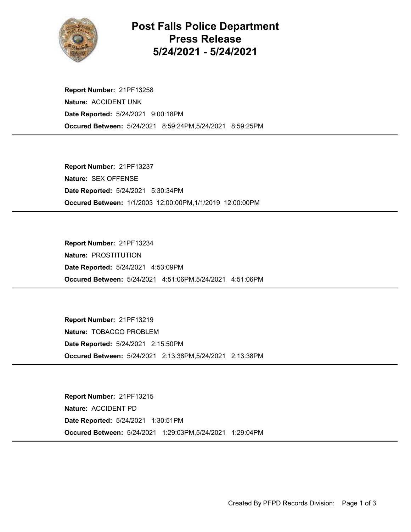

## Post Falls Police Department Press Release 5/24/2021 - 5/24/2021

Occured Between: 5/24/2021 8:59:24PM,5/24/2021 8:59:25PM Report Number: 21PF13258 Nature: ACCIDENT UNK Date Reported: 5/24/2021 9:00:18PM

Occured Between: 1/1/2003 12:00:00PM,1/1/2019 12:00:00PM Report Number: 21PF13237 Nature: SEX OFFENSE Date Reported: 5/24/2021 5:30:34PM

Occured Between: 5/24/2021 4:51:06PM,5/24/2021 4:51:06PM Report Number: 21PF13234 Nature: PROSTITUTION Date Reported: 5/24/2021 4:53:09PM

Occured Between: 5/24/2021 2:13:38PM,5/24/2021 2:13:38PM Report Number: 21PF13219 Nature: TOBACCO PROBLEM Date Reported: 5/24/2021 2:15:50PM

Occured Between: 5/24/2021 1:29:03PM,5/24/2021 1:29:04PM Report Number: 21PF13215 Nature: ACCIDENT PD Date Reported: 5/24/2021 1:30:51PM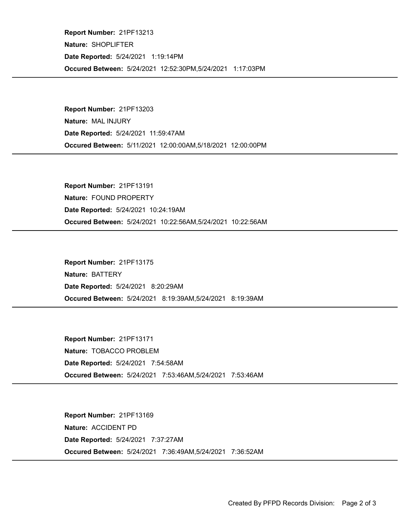Occured Between: 5/24/2021 12:52:30PM,5/24/2021 1:17:03PM Report Number: 21PF13213 Nature: SHOPLIFTER Date Reported: 5/24/2021 1:19:14PM

Occured Between: 5/11/2021 12:00:00AM,5/18/2021 12:00:00PM Report Number: 21PF13203 Nature: MAL INJURY Date Reported: 5/24/2021 11:59:47AM

Occured Between: 5/24/2021 10:22:56AM,5/24/2021 10:22:56AM Report Number: 21PF13191 Nature: FOUND PROPERTY Date Reported: 5/24/2021 10:24:19AM

Occured Between: 5/24/2021 8:19:39AM,5/24/2021 8:19:39AM Report Number: 21PF13175 Nature: BATTERY Date Reported: 5/24/2021 8:20:29AM

Occured Between: 5/24/2021 7:53:46AM,5/24/2021 7:53:46AM Report Number: 21PF13171 Nature: TOBACCO PROBLEM Date Reported: 5/24/2021 7:54:58AM

Occured Between: 5/24/2021 7:36:49AM,5/24/2021 7:36:52AM Report Number: 21PF13169 Nature: ACCIDENT PD Date Reported: 5/24/2021 7:37:27AM